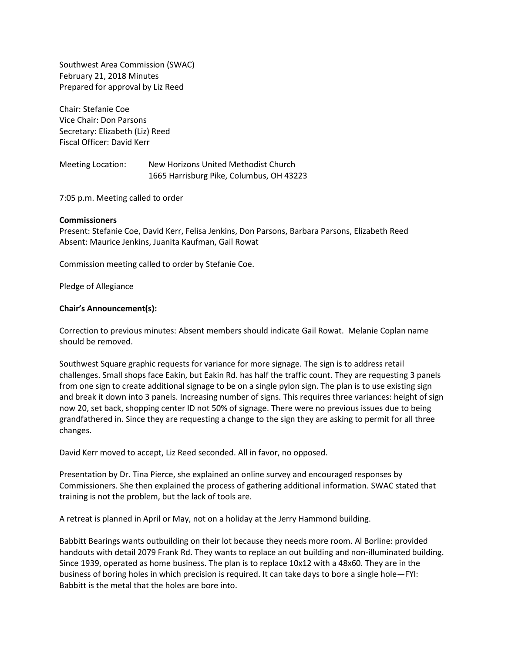Southwest Area Commission (SWAC) February 21, 2018 Minutes Prepared for approval by Liz Reed

Chair: Stefanie Coe Vice Chair: Don Parsons Secretary: Elizabeth (Liz) Reed Fiscal Officer: David Kerr

Meeting Location: New Horizons United Methodist Church 1665 Harrisburg Pike, Columbus, OH 43223

7:05 p.m. Meeting called to order

## **Commissioners**

Present: Stefanie Coe, David Kerr, Felisa Jenkins, Don Parsons, Barbara Parsons, Elizabeth Reed Absent: Maurice Jenkins, Juanita Kaufman, Gail Rowat

Commission meeting called to order by Stefanie Coe.

Pledge of Allegiance

## **Chair's Announcement(s):**

Correction to previous minutes: Absent members should indicate Gail Rowat. Melanie Coplan name should be removed.

Southwest Square graphic requests for variance for more signage. The sign is to address retail challenges. Small shops face Eakin, but Eakin Rd. has half the traffic count. They are requesting 3 panels from one sign to create additional signage to be on a single pylon sign. The plan is to use existing sign and break it down into 3 panels. Increasing number of signs. This requires three variances: height of sign now 20, set back, shopping center ID not 50% of signage. There were no previous issues due to being grandfathered in. Since they are requesting a change to the sign they are asking to permit for all three changes.

David Kerr moved to accept, Liz Reed seconded. All in favor, no opposed.

Presentation by Dr. Tina Pierce, she explained an online survey and encouraged responses by Commissioners. She then explained the process of gathering additional information. SWAC stated that training is not the problem, but the lack of tools are.

A retreat is planned in April or May, not on a holiday at the Jerry Hammond building.

Babbitt Bearings wants outbuilding on their lot because they needs more room. Al Borline: provided handouts with detail 2079 Frank Rd. They wants to replace an out building and non-illuminated building. Since 1939, operated as home business. The plan is to replace 10x12 with a 48x60. They are in the business of boring holes in which precision is required. It can take days to bore a single hole—FYI: Babbitt is the metal that the holes are bore into.